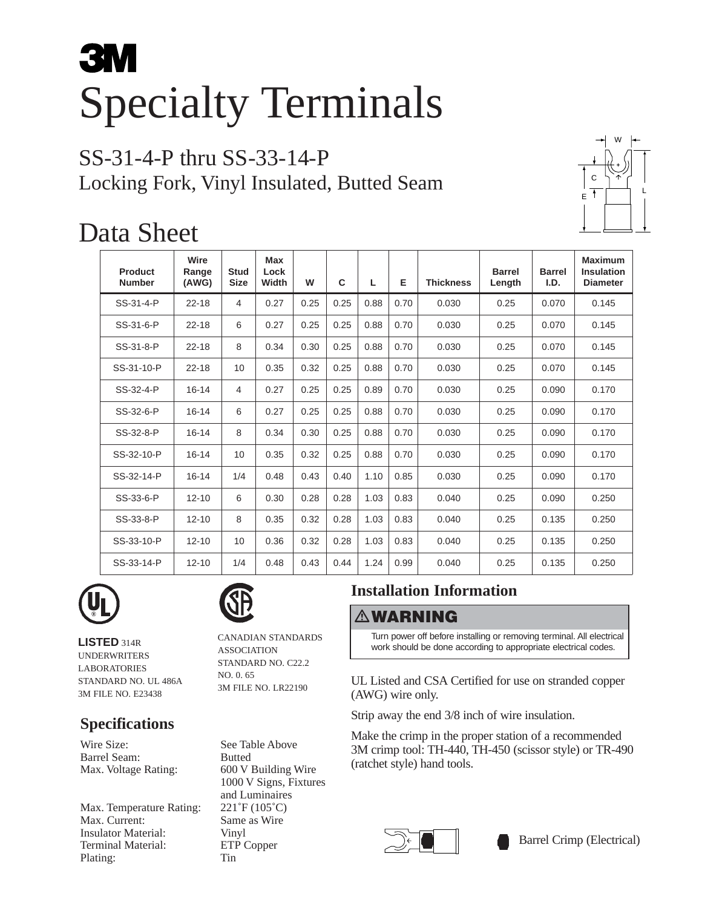# **3M** Specialty Terminals

# SS-31-4-P thru SS-33-14-P Locking Fork, Vinyl Insulated, Butted Seam



# Data Sheet

| Product<br><b>Number</b> | Wire<br>Range<br>(AWG) | <b>Stud</b><br><b>Size</b> | <b>Max</b><br>Lock<br>Width | W    | C    | L    | Е    | <b>Thickness</b> | <b>Barrel</b><br>Length | <b>Barrel</b><br>I.D. | <b>Maximum</b><br><b>Insulation</b><br><b>Diameter</b> |
|--------------------------|------------------------|----------------------------|-----------------------------|------|------|------|------|------------------|-------------------------|-----------------------|--------------------------------------------------------|
| SS-31-4-P                | $22 - 18$              | 4                          | 0.27                        | 0.25 | 0.25 | 0.88 | 0.70 | 0.030            | 0.25                    | 0.070                 | 0.145                                                  |
| SS-31-6-P                | $22 - 18$              | 6                          | 0.27                        | 0.25 | 0.25 | 0.88 | 0.70 | 0.030            | 0.25                    | 0.070                 | 0.145                                                  |
| SS-31-8-P                | $22 - 18$              | 8                          | 0.34                        | 0.30 | 0.25 | 0.88 | 0.70 | 0.030            | 0.25                    | 0.070                 | 0.145                                                  |
| SS-31-10-P               | $22 - 18$              | 10                         | 0.35                        | 0.32 | 0.25 | 0.88 | 0.70 | 0.030            | 0.25                    | 0.070                 | 0.145                                                  |
| SS-32-4-P                | $16 - 14$              | 4                          | 0.27                        | 0.25 | 0.25 | 0.89 | 0.70 | 0.030            | 0.25                    | 0.090                 | 0.170                                                  |
| SS-32-6-P                | $16 - 14$              | 6                          | 0.27                        | 0.25 | 0.25 | 0.88 | 0.70 | 0.030            | 0.25                    | 0.090                 | 0.170                                                  |
| SS-32-8-P                | $16 - 14$              | 8                          | 0.34                        | 0.30 | 0.25 | 0.88 | 0.70 | 0.030            | 0.25                    | 0.090                 | 0.170                                                  |
| SS-32-10-P               | $16 - 14$              | 10                         | 0.35                        | 0.32 | 0.25 | 0.88 | 0.70 | 0.030            | 0.25                    | 0.090                 | 0.170                                                  |
| SS-32-14-P               | $16 - 14$              | 1/4                        | 0.48                        | 0.43 | 0.40 | 1.10 | 0.85 | 0.030            | 0.25                    | 0.090                 | 0.170                                                  |
| SS-33-6-P                | $12 - 10$              | 6                          | 0.30                        | 0.28 | 0.28 | 1.03 | 0.83 | 0.040            | 0.25                    | 0.090                 | 0.250                                                  |
| SS-33-8-P                | $12 - 10$              | 8                          | 0.35                        | 0.32 | 0.28 | 1.03 | 0.83 | 0.040            | 0.25                    | 0.135                 | 0.250                                                  |
| SS-33-10-P               | $12 - 10$              | 10                         | 0.36                        | 0.32 | 0.28 | 1.03 | 0.83 | 0.040            | 0.25                    | 0.135                 | 0.250                                                  |
| SS-33-14-P               | $12 - 10$              | 1/4                        | 0.48                        | 0.43 | 0.44 | 1.24 | 0.99 | 0.040            | 0.25                    | 0.135                 | 0.250                                                  |



**LISTED** 314R UNDERWRITERS LABORATORIES STANDARD NO. UL 486A 3M FILE NO. E23438

## **Specifications**

Wire Size: See Table Above<br>Barrel Seam: Butted Barrel Seam:

Max. Temperature Rating: 221°F (105°C) Max. Current: Same as Wire Insulator Material: Vinyl Terminal Material: ETP Copper Plating: Tin

CANADIAN STANDARDS ASSOCIATION STANDARD NO. C22.2 NO. 0. 65 3M FILE NO. LR22190

Max. Voltage Rating: 600 V Building Wire 1000 V Signs, Fixtures and Luminaires

# **Installation Information**

### **WARNING**

Turn power off before installing or removing terminal. All electrical work should be done according to appropriate electrical codes.

UL Listed and CSA Certified for use on stranded copper (AWG) wire only.

Strip away the end 3/8 inch of wire insulation.

Make the crimp in the proper station of a recommended 3M crimp tool: TH-440, TH-450 (scissor style) or TR-490 (ratchet style) hand tools.